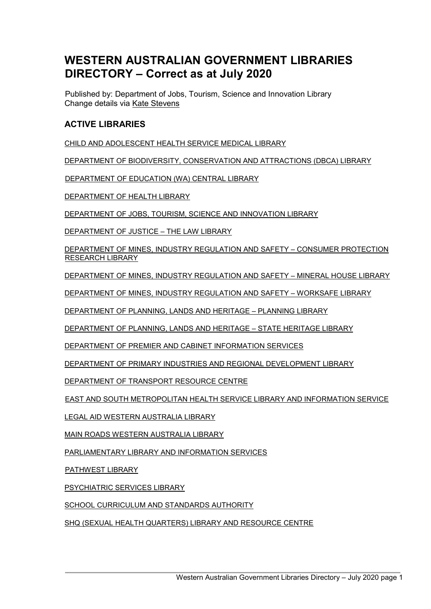# **WESTERN AUSTRALIAN GOVERNMENT LIBRARIES DIRECTORY – Correct as at July 2020**

Published by: Department of Jobs, Tourism, Science and Innovation Library Change details via [Kate Stevens](mailto:kate.stevens@jtsi.wa.gov.au)

# **ACTIVE LIBRARIES**

[CHILD AND ADOLESCENT HEALTH SERVICE MEDICAL LIBRARY](#page-3-0)

[DEPARTMENT OF BIODIVERSITY, CONSERVATION AND ATTRACTIONS \(DBCA\) LIBRARY](#page-3-1)

[DEPARTMENT OF EDUCATION \(WA\) CENTRAL LIBRARY](#page-3-2)

[DEPARTMENT OF HEALTH LIBRARY](#page-4-0)

[DEPARTMENT OF JOBS, TOURISM, SCIENCE AND INNOVATION LIBRARY](#page-4-1)

[DEPARTMENT OF JUSTICE –](#page-4-2) THE LAW LIBRARY

[DEPARTMENT OF MINES, INDUSTRY REGULATION AND SAFETY –](#page-5-0) CONSUMER PROTECTION [RESEARCH LIBRARY](#page-5-0)

[DEPARTMENT OF MINES, INDUSTRY REGULATION AND SAFETY –](#page-5-1) MINERAL HOUSE LIBRARY

[DEPARTMENT OF MINES, INDUSTRY REGULATION AND SAFETY –](#page-5-2) WORKSAFE LIBRARY

[DEPARTMENT OF PLANNING, LANDS AND HERITAGE –](#page-6-0) PLANNING LIBRARY

[DEPARTMENT OF PLANNING, LANDS AND HERITAGE –](#page-6-1) STATE HERITAGE LIBRARY

[DEPARTMENT OF PREMIER AND CABINET INFORMATION SERVICES](#page-6-2)

[DEPARTMENT OF PRIMARY INDUSTRIES AND REGIONAL DEVELOPMENT LIBRARY](#page-6-3)

[DEPARTMENT OF TRANSPORT RESOURCE](#page-7-0) CENTRE

[EAST AND SOUTH METROPOLITAN HEALTH SERVICE LIBRARY AND INFORMATION SERVICE](#page-7-1)

[LEGAL AID WESTERN AUSTRALIA LIBRARY](#page-8-0)

[MAIN ROADS WESTERN AUSTRALIA LIBRARY](#page-8-1)

[PARLIAMENTARY LIBRARY AND INFORMATION SERVICES](#page-8-2)

[PATHWEST LIBRARY](#page-9-0)

[PSYCHIATRIC SERVICES LIBRARY](#page-9-1)

[SCHOOL CURRICULUM AND STANDARDS AUTHORITY](#page-9-2)

[SHQ \(SEXUAL HEALTH QUARTERS\) LIBRARY AND RESOURCE CENTRE](#page-10-0)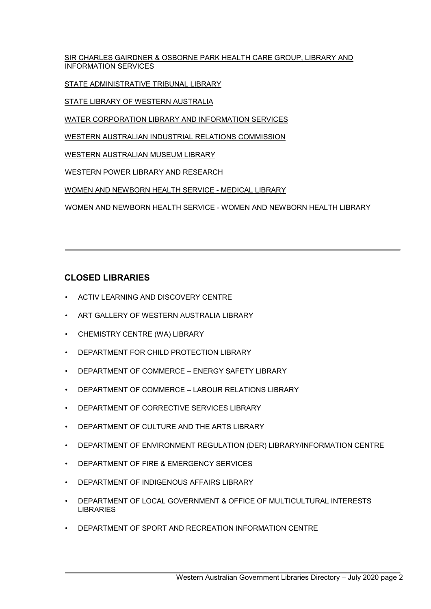[SIR CHARLES GAIRDNER & OSBORNE PARK HEALTH CARE GROUP, LIBRARY AND](#page-10-1)  [INFORMATION SERVICES](#page-10-1)

[STATE ADMINISTRATIVE TRIBUNAL](#page-10-2) LIBRARY

[STATE LIBRARY OF WESTERN AUSTRALIA](#page-11-0)

[WATER CORPORATION LIBRARY AND INFORMATION SERVICES](#page-11-1)

[WESTERN AUSTRALIAN INDUSTRIAL RELATIONS COMMISSION](#page-11-2)

[WESTERN AUSTRALIAN MUSEUM LIBRARY](#page-12-0)

[WESTERN POWER LIBRARY AND RESEARCH](#page-12-1)

[WOMEN AND NEWBORN HEALTH SERVICE -](#page-12-2) MEDICAL LIBRARY

[WOMEN AND NEWBORN HEALTH SERVICE -](#page-13-0) WOMEN AND NEWBORN HEALTH LIBRARY

# **CLOSED LIBRARIES**

- ACTIV LEARNING AND DISCOVERY CENTRE
- ART GALLERY OF WESTERN AUSTRALIA LIBRARY
- CHEMISTRY CENTRE (WA) LIBRARY
- DEPARTMENT FOR CHILD PROTECTION LIBRARY
- DEPARTMENT OF COMMERCE ENERGY SAFETY LIBRARY
- DEPARTMENT OF COMMERCE LABOUR RELATIONS LIBRARY
- DEPARTMENT OF CORRECTIVE SERVICES LIBRARY
- DEPARTMENT OF CULTURE AND THE ARTS LIBRARY
- DEPARTMENT OF ENVIRONMENT REGULATION (DER) LIBRARY/INFORMATION CENTRE
- DEPARTMENT OF FIRE & EMERGENCY SERVICES
- DEPARTMENT OF INDIGENOUS AFFAIRS LIBRARY
- DEPARTMENT OF LOCAL GOVERNMENT & OFFICE OF MULTICULTURAL INTERESTS LIBRARIES
- DEPARTMENT OF SPORT AND RECREATION INFORMATION CENTRE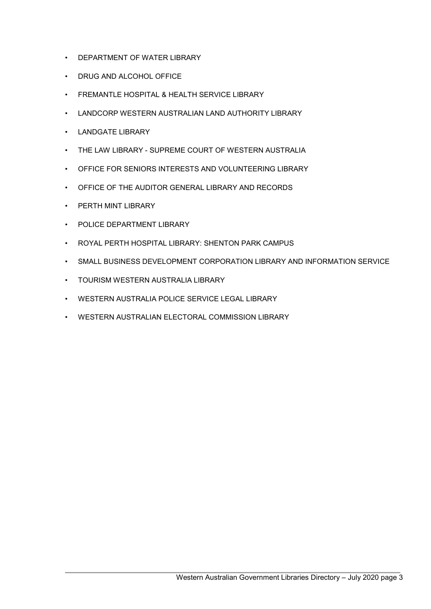- DEPARTMENT OF WATER LIBRARY
- DRUG AND ALCOHOL OFFICE
- FREMANTLE HOSPITAL & HEALTH SERVICE LIBRARY
- LANDCORP WESTERN AUSTRALIAN LAND AUTHORITY LIBRARY
- LANDGATE LIBRARY
- THE LAW LIBRARY SUPREME COURT OF WESTERN AUSTRALIA
- OFFICE FOR SENIORS INTERESTS AND VOLUNTEERING LIBRARY
- OFFICE OF THE AUDITOR GENERAL LIBRARY AND RECORDS
- PERTH MINT LIBRARY
- POLICE DEPARTMENT LIBRARY
- ROYAL PERTH HOSPITAL LIBRARY: SHENTON PARK CAMPUS
- SMALL BUSINESS DEVELOPMENT CORPORATION LIBRARY AND INFORMATION SERVICE
- TOURISM WESTERN AUSTRALIA LIBRARY
- WESTERN AUSTRALIA POLICE SERVICE LEGAL LIBRARY
- WESTERN AUSTRALIAN ELECTORAL COMMISSION LIBRARY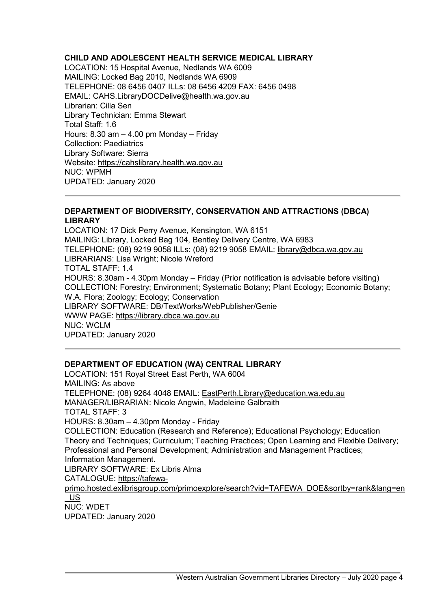# <span id="page-3-0"></span>**CHILD AND ADOLESCENT HEALTH SERVICE MEDICAL LIBRARY**

LOCATION: 15 Hospital Avenue, Nedlands WA 6009 MAILING: Locked Bag 2010, Nedlands WA 6909 TELEPHONE: 08 6456 0407 ILLs: 08 6456 4209 FAX: 6456 0498 EMAIL: CAHS.LibraryDOCDelive@health.wa.gov.au Librarian: Cilla Sen Library Technician: Emma Stewart Total Staff: 1.6 Hours: 8.30 am – 4.00 pm Monday – Friday Collection: Paediatrics Library Software: Sierra Website: [https://cahslibrary.health.wa.gov.au](https://cahslibrary.health.wa.gov.au/) NUC: WPMH UPDATED: January 2020

#### <span id="page-3-1"></span>**DEPARTMENT OF BIODIVERSITY, CONSERVATION AND ATTRACTIONS (DBCA) LIBRARY**

LOCATION: 17 Dick Perry Avenue, Kensington, WA 6151 MAILING: Library, Locked Bag 104, Bentley Delivery Centre, WA 6983 TELEPHONE: (08) 9219 9058 ILLs: (08) 9219 9058 EMAIL: library@dbca.wa.gov.au LIBRARIANS: Lisa Wright; Nicole Wreford TOTAL STAFF: 1.4 HOURS: 8.30am - 4.30pm Monday – Friday (Prior notification is advisable before visiting) COLLECTION: Forestry; Environment; Systematic Botany; Plant Ecology; Economic Botany; W.A. Flora; Zoology; Ecology; Conservation LIBRARY SOFTWARE: DB/TextWorks/WebPublisher/Genie WWW PAGE: [https://library.dbca.wa.gov.au](https://library.dbca.wa.gov.au/) NUC: WCLM UPDATED: January 2020

#### <span id="page-3-2"></span>**DEPARTMENT OF EDUCATION (WA) CENTRAL LIBRARY**

LOCATION: 151 Royal Street East Perth, WA 6004 MAILING: As above TELEPHONE: (08) 9264 4048 EMAIL: EastPerth.Library@education.wa.edu.au MANAGER/LIBRARIAN: Nicole Angwin, Madeleine Galbraith TOTAL STAFF: 3 HOURS: 8.30am – 4.30pm Monday - Friday COLLECTION: Education (Research and Reference); Educational Psychology; Education Theory and Techniques; Curriculum; Teaching Practices; Open Learning and Flexible Delivery; Professional and Personal Development; Administration and Management Practices; Information Management. LIBRARY SOFTWARE: Ex Libris Alma CATALOGUE: [https://tafewa](https://tafewa-primo.hosted.exlibrisgroup.com/primo-explore/search?vid=TAFEWA_DOE&sortby=rank&lang=en_US)[primo.hosted.exlibrisgroup.com/primoexplore/search?vid=TAFEWA\\_DOE&sortby=rank&lang=en](https://tafewa-primo.hosted.exlibrisgroup.com/primo-explore/search?vid=TAFEWA_DOE&sortby=rank&lang=en_US) [\\_US](https://tafewa-primo.hosted.exlibrisgroup.com/primo-explore/search?vid=TAFEWA_DOE&sortby=rank&lang=en_US) NUC: WDET

UPDATED: January 2020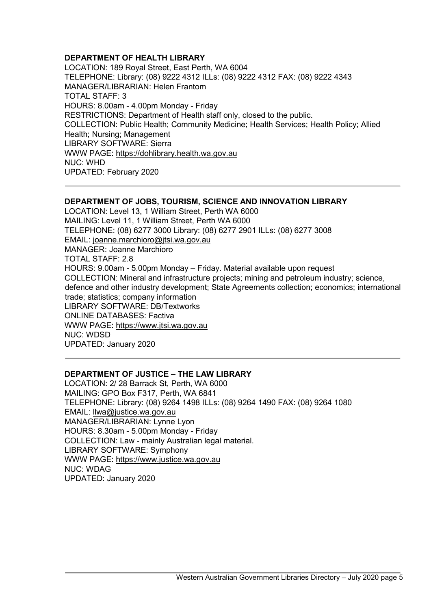#### <span id="page-4-0"></span>**DEPARTMENT OF HEALTH LIBRARY**

LOCATION: 189 Royal Street, East Perth, WA 6004 TELEPHONE: Library: (08) 9222 4312 ILLs: (08) 9222 4312 FAX: (08) 9222 4343 MANAGER/LIBRARIAN: Helen Frantom TOTAL STAFF: 3 HOURS: 8.00am - 4.00pm Monday - Friday RESTRICTIONS: Department of Health staff only, closed to the public. COLLECTION: Public Health; Community Medicine; Health Services; Health Policy; Allied Health; Nursing; Management LIBRARY SOFTWARE: Sierra WWW PAGE: [https://dohlibrary.health.wa.gov.au](https://dohlibrary.health.wa.gov.au/) NUC: WHD UPDATED: February 2020

#### <span id="page-4-1"></span>**DEPARTMENT OF JOBS, TOURISM, SCIENCE AND INNOVATION LIBRARY**

LOCATION: Level 13, 1 William Street, Perth WA 6000 MAILING: Level 11, 1 William Street, Perth WA 6000 TELEPHONE: (08) 6277 3000 Library: (08) 6277 2901 ILLs: (08) 6277 3008 EMAIL: joanne.marchioro@jtsi.wa.gov.au MANAGER: Joanne Marchioro TOTAL STAFF: 2.8 HOURS: 9.00am - 5.00pm Monday – Friday. Material available upon request COLLECTION: Mineral and infrastructure projects; mining and petroleum industry; science, defence and other industry development; State Agreements collection; economics; international trade; statistics; company information LIBRARY SOFTWARE: DB/Textworks ONLINE DATABASES: Factiva WWW PAGE: [https://www.jtsi.wa.gov.au](https://www.jtsi.wa.gov.au/) NUC: WDSD UPDATED: January 2020

#### <span id="page-4-2"></span>**DEPARTMENT OF JUSTICE – THE LAW LIBRARY**

LOCATION: 2/ 28 Barrack St, Perth, WA 6000 MAILING: GPO Box F317, Perth, WA 6841 TELEPHONE: Library: (08) 9264 1498 ILLs: (08) 9264 1490 FAX: (08) 9264 1080 EMAIL: llwa@justice.wa.gov.au MANAGER/LIBRARIAN: Lynne Lyon HOURS: 8.30am - 5.00pm Monday - Friday COLLECTION: Law - mainly Australian legal material. LIBRARY SOFTWARE: Symphony WWW PAGE: [https://www.justice.wa.gov.au](https://www.justice.wa.gov.au/) NUC: WDAG UPDATED: January 2020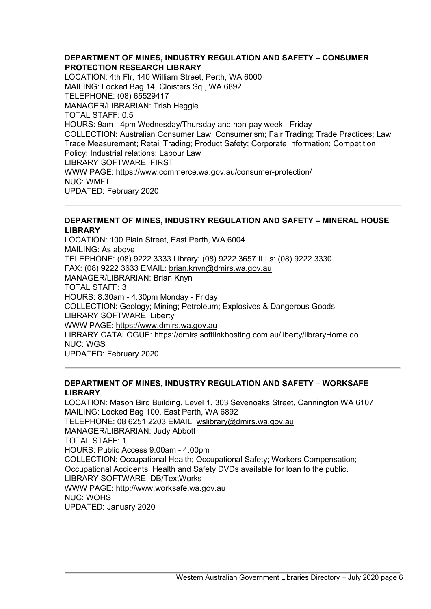<span id="page-5-0"></span>**DEPARTMENT OF MINES, INDUSTRY REGULATION AND SAFETY – CONSUMER PROTECTION RESEARCH LIBRARY**  LOCATION: 4th Flr, 140 William Street, Perth, WA 6000 MAILING: Locked Bag 14, Cloisters Sq., WA 6892 TELEPHONE: (08) 65529417 MANAGER/LIBRARIAN: Trish Heggie TOTAL STAFF: 0.5 HOURS: 9am - 4pm Wednesday/Thursday and non-pay week - Friday COLLECTION: Australian Consumer Law; Consumerism; Fair Trading; Trade Practices; Law, Trade Measurement; Retail Trading; Product Safety; Corporate Information; Competition Policy; Industrial relations; Labour Law LIBRARY SOFTWARE: FIRST WWW PAGE: [https://www.commerce.wa.gov.au/consumer-](https://www.commerce.wa.gov.au/consumer-protection/)[protection/](http://www.commerce.wa.gov.au/consumer-protection/) NUC: WMFT UPDATED: February 2020

#### <span id="page-5-1"></span>**DEPARTMENT OF MINES, INDUSTRY REGULATION AND SAFETY – MINERAL HOUSE LIBRARY**

LOCATION: 100 Plain Street, East Perth, WA 6004 MAILING: As above TELEPHONE: (08) 9222 3333 Library: (08) 9222 3657 ILLs: (08) 9222 3330 FAX: (08) 9222 3633 EMAIL: brian.knyn@dmirs.wa.gov.au MANAGER/LIBRARIAN: Brian Knyn TOTAL STAFF: 3 HOURS: 8.30am - 4.30pm Monday - Friday COLLECTION: Geology; Mining; Petroleum; Explosives & Dangerous Goods LIBRARY SOFTWARE: Liberty WWW PAGE: [https://www.dmirs.wa.gov.au](https://www.dmirs.wa.gov.au/) LIBRARY CATALOGUE:<https://dmirs.softlinkhosting.com.au/liberty/libraryHome.do> NUC: WGS UPDATED: February 2020

#### <span id="page-5-2"></span>**DEPARTMENT OF MINES, INDUSTRY REGULATION AND SAFETY – WORKSAFE LIBRARY**

LOCATION: Mason Bird Building, Level 1, 303 Sevenoaks Street, Cannington WA 6107 MAILING: Locked Bag 100, East Perth, WA 6892 TELEPHONE: 08 6251 2203 EMAIL: wslibrary@dmirs.wa.gov.au MANAGER/LIBRARIAN: Judy Abbott TOTAL STAFF: 1 HOURS: Public Access 9.00am - 4.00pm COLLECTION: Occupational Health; Occupational Safety; Workers Compensation; Occupational Accidents; Health and Safety DVDs available for loan to the public. LIBRARY SOFTWARE: DB/TextWorks WWW PAGE: [http://www.worksafe.wa.gov.au](http://www.worksafe.wa.gov.au/) NUC: WOHS UPDATED: January 2020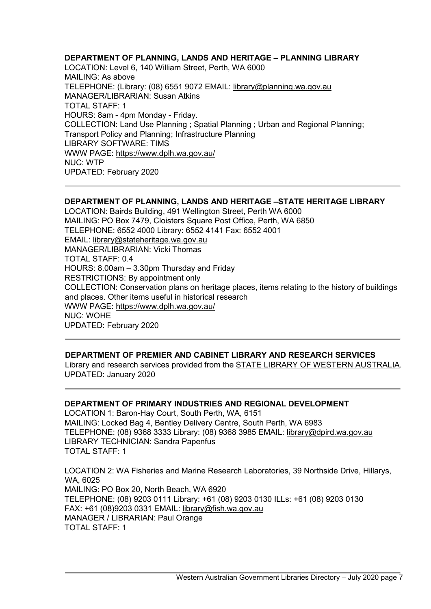## <span id="page-6-0"></span>**DEPARTMENT OF PLANNING, LANDS AND HERITAGE – PLANNING LIBRARY**

LOCATION: Level 6, 140 William Street, Perth, WA 6000 MAILING: As above TELEPHONE: (Library: (08) 6551 9072 EMAIL: library@planning.wa.gov.au MANAGER/LIBRARIAN: Susan Atkins TOTAL STAFF: 1 HOURS: 8am - 4pm Monday - Friday. COLLECTION: Land Use Planning ; Spatial Planning ; Urban and Regional Planning; Transport Policy and Planning; Infrastructure Planning LIBRARY SOFTWARE: TIMS WWW PAGE:<https://www.dplh.wa.gov.au/> NUC: WTP UPDATED: February 2020

# <span id="page-6-1"></span>**DEPARTMENT OF PLANNING, LANDS AND HERITAGE –STATE HERITAGE LIBRARY**

LOCATION: Bairds Building, 491 Wellington Street, Perth WA 6000 MAILING: PO Box 7479, Cloisters Square Post Office, Perth, WA 6850 TELEPHONE: 6552 4000 Library: 6552 4141 Fax: 6552 4001 EMAIL: library@stateheritage.wa.gov.au MANAGER/LIBRARIAN: Vicki Thomas TOTAL STAFF: 0.4 HOURS: 8.00am – 3.30pm Thursday and Friday RESTRICTIONS: By appointment only COLLECTION: Conservation plans on heritage places, items relating to the history of buildings and places. Other items useful in historical research WWW PAGE:<https://www.dplh.wa.gov.au/> NUC: WOHE UPDATED: February 2020

#### <span id="page-6-2"></span>**DEPARTMENT OF PREMIER AND CABINET LIBRARY AND RESEARCH SERVICES**

Library and research services provided from the [STATE LIBRARY OF WESTERN](#page-11-0) AUSTRALIA. UPDATED: January 2020

#### <span id="page-6-3"></span>**DEPARTMENT OF PRIMARY INDUSTRIES AND REGIONAL DEVELOPMENT**

LOCATION 1: Baron-Hay Court, South Perth, WA, 6151 MAILING: Locked Bag 4, Bentley Delivery Centre, South Perth, WA 6983 TELEPHONE: (08) 9368 3333 Library: (08) 9368 3985 EMAIL: library@dpird.wa.gov.au LIBRARY TECHNICIAN: Sandra Papenfus TOTAL STAFF: 1

LOCATION 2: WA Fisheries and Marine Research Laboratories, 39 Northside Drive, Hillarys, WA, 6025 MAILING: PO Box 20, North Beach, WA 6920 TELEPHONE: (08) 9203 0111 Library: +61 (08) 9203 0130 ILLs: +61 (08) 9203 0130 FAX: +61 (08)9203 0331 EMAIL: library@fish.wa.gov.au MANAGER / LIBRARIAN: Paul Orange TOTAL STAFF: 1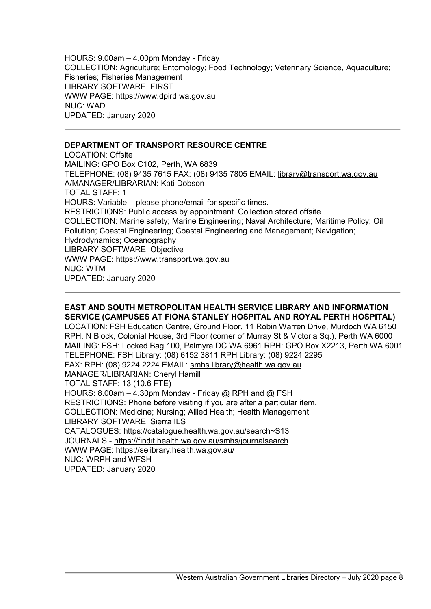HOURS: 9.00am – 4.00pm Monday - Friday COLLECTION: Agriculture; Entomology; Food Technology; Veterinary Science, Aquaculture; Fisheries; Fisheries Management LIBRARY SOFTWARE: FIRST WWW PAGE[:](https://www.dpird.wa.gov.au/) [https://www.dpird.wa.gov.au](https://www.dpird.wa.gov.au/) NUC: WAD UPDATED: January 2020

# <span id="page-7-0"></span>**DEPARTMENT OF TRANSPORT RESOURCE CENTRE**

LOCATION: Offsite MAILING: GPO Box C102, Perth, WA 6839 TELEPHONE: (08) 9435 7615 FAX: (08) 9435 7805 EMAIL: library@transport.wa.gov.au A/MANAGER/LIBRARIAN: Kati Dobson TOTAL STAFF: 1 HOURS: Variable – please phone/email for specific times. RESTRICTIONS: Public access by appointment. Collection stored offsite COLLECTION: Marine safety; Marine Engineering; Naval Architecture; Maritime Policy; Oil Pollution; Coastal Engineering; Coastal Engineering and Management; Navigation; Hydrodynamics; Oceanography LIBRARY SOFTWARE: Objective WWW PAGE: [https://www.transport.wa.gov.au](https://www.transport.wa.gov.au/) NUC: WTM UPDATED: January 2020

#### <span id="page-7-1"></span>**EAST AND SOUTH METROPOLITAN HEALTH SERVICE LIBRARY AND INFORMATION SERVICE (CAMPUSES AT FIONA STANLEY HOSPITAL AND ROYAL PERTH HOSPITAL)**

LOCATION: FSH Education Centre, Ground Floor, 11 Robin Warren Drive, Murdoch WA 6150 RPH, N Block, Colonial House, 3rd Floor (corner of Murray St & Victoria Sq.), Perth WA 6000 MAILING: FSH: Locked Bag 100, Palmyra DC WA 6961 RPH: GPO Box X2213, Perth WA 6001 TELEPHONE: FSH Library: (08) 6152 3811 RPH Library: (08) 9224 2295 FAX: RPH: (08) 9224 2224 EMAIL: smhs.library@health.wa.gov.au MANAGER/LIBRARIAN: Cheryl Hamill TOTAL STAFF: 13 (10.6 FTE) HOURS: 8.00am – 4.30pm Monday - Friday @ RPH and @ FSH RESTRICTIONS: Phone before visiting if you are after a particular item. COLLECTION: Medicine; Nursing; Allied Health; Health Management LIBRARY SOFTWARE: Sierra ILS CATALOGUES[:](http://catalogue.health.wa.gov.au/search%7ES13) [https://catalogue.health.wa.gov.au/search~S13](http://catalogue.health.wa.gov.au/search%7ES13) JOURNALS [-](https://findit.health.wa.gov.au/smhs/journalsearch) <https://findit.health.wa.gov.au/smhs/journalsearch> WWW PAGE[:](https://selibrary.health.wa.gov.au/) <https://selibrary.health.wa.gov.au/>

NUC: WRPH and WFSH UPDATED: January 2020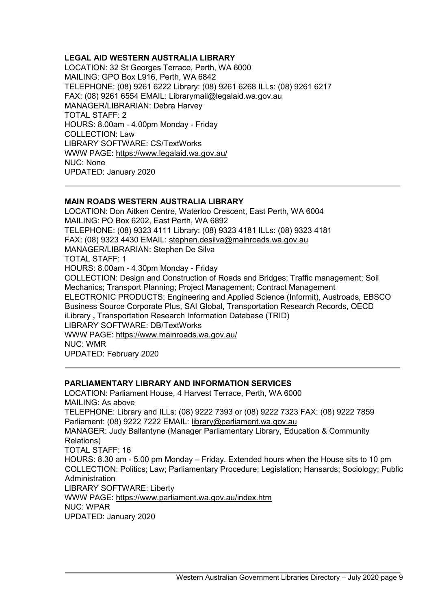## <span id="page-8-0"></span>**LEGAL AID WESTERN AUSTRALIA LIBRARY**

LOCATION: 32 St Georges Terrace, Perth, WA 6000 MAILING: GPO Box L916, Perth, WA 6842 TELEPHONE: (08) 9261 6222 Library: (08) 9261 6268 ILLs: (08) 9261 6217 FAX: (08) 9261 6554 EMAIL: Librarymail@legalaid.wa.gov.au MANAGER/LIBRARIAN: Debra Harvey TOTAL STAFF: 2 HOURS: 8.00am - 4.00pm Monday - Friday COLLECTION: Law LIBRARY SOFTWARE: CS/TextWorks WWW PAGE:<https://www.legalaid.wa.gov.au/> NUC: None UPDATED: January 2020

#### <span id="page-8-1"></span>**MAIN ROADS WESTERN AUSTRALIA LIBRARY**

LOCATION: Don Aitken Centre, Waterloo Crescent, East Perth, WA 6004 MAILING: PO Box 6202, East Perth, WA 6892 TELEPHONE: (08) 9323 4111 Library: (08) 9323 4181 ILLs: (08) 9323 4181 FAX: (08) 9323 4430 EMAIL: stephen.desilva@mainroads.wa.gov.au MANAGER/LIBRARIAN: Stephen De Silva TOTAL STAFF: 1 HOURS: 8.00am - 4.30pm Monday - Friday COLLECTION: Design and Construction of Roads and Bridges; Traffic management; Soil Mechanics; Transport Planning; Project Management; Contract Management ELECTRONIC PRODUCTS: Engineering and Applied Science (Informit), Austroads, EBSCO Business Source Corporate Plus, SAI Global, Transportation Research Records, OECD iLibrary **,** Transportation Research Information Database (TRID) LIBRARY SOFTWARE: DB/TextWorks WWW PAGE:<https://www.mainroads.wa.gov.au/> NUC: WMR UPDATED: February 2020

#### <span id="page-8-2"></span>**PARLIAMENTARY LIBRARY AND INFORMATION SERVICES**

LOCATION: Parliament House, 4 Harvest Terrace, Perth, WA 6000 MAILING: As above TELEPHONE: Library and ILLs: (08) 9222 7393 or (08) 9222 7323 FAX: (08) 9222 7859 Parliament: (08) 9222 7222 EMAIL: library@parliament.wa.gov.au MANAGER: Judy Ballantyne (Manager Parliamentary Library, Education & Community Relations) TOTAL STAFF: 16 HOURS: 8.30 am - 5.00 pm Monday – Friday. Extended hours when the House sits to 10 pm COLLECTION: Politics; Law; Parliamentary Procedure; Legislation; Hansards; Sociology; Public Administration LIBRARY SOFTWARE: Liberty WWW PAGE:<https://www.parliament.wa.gov.au/index.htm> NUC: WPAR UPDATED: January 2020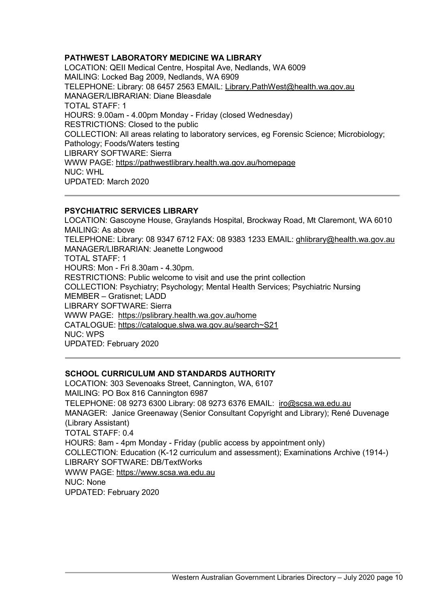# <span id="page-9-0"></span>**PATHWEST LABORATORY MEDICINE WA LIBRARY**

LOCATION: QEII Medical Centre, Hospital Ave, Nedlands, WA 6009 MAILING: Locked Bag 2009, Nedlands, WA 6909 TELEPHONE: Library: 08 6457 2563 EMAIL: Library.PathWest@health.wa.gov.au MANAGER/LIBRARIAN: Diane Bleasdale TOTAL STAFF: 1 HOURS: 9.00am - 4.00pm Monday - Friday (closed Wednesday) RESTRICTIONS: Closed to the public COLLECTION: All areas relating to laboratory services, eg Forensic Science; Microbiology; Pathology; Foods/Waters testing LIBRARY SOFTWARE: Sierra WWW PAGE: <https://pathwestlibrary.health.wa.gov.au/homepage> NUC: WHL UPDATED: March 2020

#### <span id="page-9-1"></span>**PSYCHIATRIC SERVICES LIBRARY**

LOCATION: Gascoyne House, Graylands Hospital, Brockway Road, Mt Claremont, WA 6010 MAILING: As above TELEPHONE: Library: 08 9347 6712 FAX: 08 9383 1233 EMAIL: ghlibrary@health.wa.gov.au MANAGER/LIBRARIAN: Jeanette Longwood TOTAL STAFF: 1 HOURS: Mon - Fri 8.30am - 4.30pm. RESTRICTIONS: Public welcome to visit and use the print collection COLLECTION: Psychiatry; Psychology; Mental Health Services; Psychiatric Nursing MEMBER – Gratisnet; LADD LIBRARY SOFTWARE: Sierra WWW PAGE: [https://pslibrary.health.wa.gov.au/home](http://pslibrary.health.wa.gov.au/home) CATALOGUE: [https://catalogue.slwa.wa.gov.au/search~S21](https://catalogue.slwa.wa.gov.au/search%7ES21) NUC: WPS UPDATED: February 2020

#### <span id="page-9-2"></span>**SCHOOL CURRICULUM AND STANDARDS AUTHORITY**

LOCATION: 303 Sevenoaks Street, Cannington, WA, 6107 MAILING: PO Box 816 Cannington 6987 TELEPHONE: 08 9273 6300 Library: 08 9273 6376 EMAIL: iro@scsa.wa.edu.au MANAGER: Janice Greenaway (Senior Consultant Copyright and Library); René Duvenage (Library Assistant) TOTAL STAFF: 0.4 HOURS: 8am - 4pm Monday - Friday (public access by appointment only) COLLECTION: Education (K-12 curriculum and assessment); Examinations Archive (1914-) LIBRARY SOFTWARE: DB/TextWorks WWW PAGE: [https://www.scsa.wa.edu.au](https://www.scsa.wa.edu.au/) NUC: None UPDATED: February 2020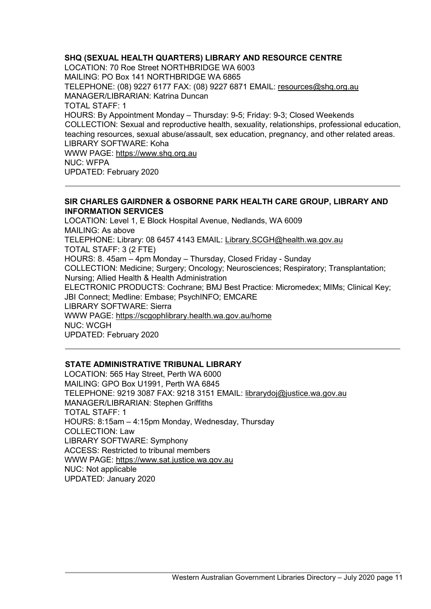## <span id="page-10-0"></span>**SHQ (SEXUAL HEALTH QUARTERS) LIBRARY AND RESOURCE CENTRE**

LOCATION: 70 Roe Street NORTHBRIDGE WA 6003 MAILING: PO Box 141 NORTHBRIDGE WA 6865 TELEPHONE: (08) 9227 6177 FAX: (08) 9227 6871 EMAIL: resources@shq.org.au MANAGER/LIBRARIAN: Katrina Duncan TOTAL STAFF: 1 HOURS: By Appointment Monday – Thursday: 9-5; Friday: 9-3; Closed Weekends COLLECTION: Sexual and reproductive health, sexuality, relationships, professional education, teaching resources, sexual abuse/assault, sex education, pregnancy, and other related areas. LIBRARY SOFTWARE: Koha WWW PAGE: [https://www.shq.org.au](https://www.shq.org.au/) NUC: WFPA UPDATED: February 2020

#### <span id="page-10-1"></span>**SIR CHARLES GAIRDNER & OSBORNE PARK HEALTH CARE GROUP, LIBRARY AND INFORMATION SERVICES**

LOCATION: Level 1, E Block Hospital Avenue, Nedlands, WA 6009 MAILING: As above TELEPHONE: Library: 08 6457 4143 EMAIL: Library.SCGH@health.wa.gov.au TOTAL STAFF: 3 (2 FTE) HOURS: 8. 45am – 4pm Monday – Thursday, Closed Friday - Sunday COLLECTION: Medicine; Surgery; Oncology; Neurosciences; Respiratory; Transplantation; Nursing; Allied Health & Health Administration ELECTRONIC PRODUCTS: Cochrane; BMJ Best Practice: Micromedex; MIMs; Clinical Key; JBI Connect; Medline: Embase; PsychINFO; EMCARE LIBRARY SOFTWARE: Sierra WWW PAGE:<https://scgophlibrary.health.wa.gov.au/home> NUC: WCGH UPDATED: February 2020

# <span id="page-10-2"></span>**STATE ADMINISTRATIVE TRIBUNAL LIBRARY**

LOCATION: 565 Hay Street, Perth WA 6000 MAILING: GPO Box U1991, Perth WA 6845 TELEPHONE: 9219 3087 FAX: 9218 3151 EMAIL: librarydoj@justice.wa.gov.au MANAGER/LIBRARIAN: Stephen Griffiths TOTAL STAFF: 1 HOURS: 8:15am – 4:15pm Monday, Wednesday, Thursday COLLECTION: Law LIBRARY SOFTWARE: Symphony ACCESS: Restricted to tribunal members WWW PAGE: [https://www.sat.justice.wa.gov.au](https://www.sat.justice.wa.gov.au/) NUC: Not applicable UPDATED: January 2020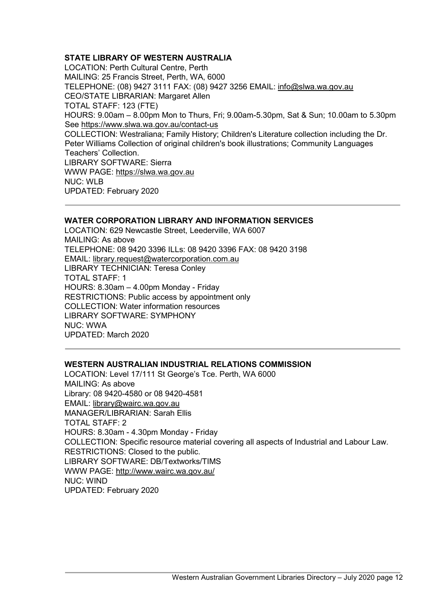# <span id="page-11-0"></span>**STATE LIBRARY OF WESTERN AUSTRALIA**

LOCATION: Perth Cultural Centre, Perth MAILING: 25 Francis Street, Perth, WA, 6000 TELEPHONE: (08) 9427 3111 FAX: (08) 9427 3256 EMAIL: info@slwa.wa.gov.au CEO/STATE LIBRARIAN: Margaret Allen TOTAL STAFF: 123 (FTE) HOURS: 9.00am – 8.00pm Mon to Thurs, Fri; 9.00am-5.30pm, Sat & Sun; 10.00am to 5.30pm See https://www.slwa.wa.gov.au/contact-us COLLECTION: Westraliana; Family History; Children's Literature collection including the Dr. Peter Williams Collection of original children's book illustrations; Community Languages Teachers' Collection. LIBRARY SOFTWARE: Sierra WWW PAGE[:](http://slwa.wa.gov.au/) [https://slwa.wa.gov.au](http://slwa.wa.gov.au/) NUC: WLB UPDATED: February 2020

#### <span id="page-11-1"></span>**WATER CORPORATION LIBRARY AND INFORMATION SERVICES**

LOCATION: 629 Newcastle Street, Leederville, WA 6007 MAILING: As above TELEPHONE: 08 9420 3396 ILLs: 08 9420 3396 FAX: 08 9420 3198 EMAIL: library.request@watercorporation.com.au LIBRARY TECHNICIAN: Teresa Conley TOTAL STAFF: 1 HOURS: 8.30am – 4.00pm Monday - Friday RESTRICTIONS: Public access by appointment only COLLECTION: Water information resources LIBRARY SOFTWARE: SYMPHONY NUC: WWA UPDATED: March 2020

#### <span id="page-11-2"></span>**WESTERN AUSTRALIAN INDUSTRIAL RELATIONS COMMISSION**

LOCATION: Level 17/111 St George's Tce. Perth, WA 6000 MAILING: As above Library: 08 9420-4580 or 08 9420-4581 EMAIL: library@wairc.wa.gov.au MANAGER/LIBRARIAN: Sarah Ellis TOTAL STAFF: 2 HOURS: 8.30am - 4.30pm Monday - Friday COLLECTION: Specific resource material covering all aspects of Industrial and Labour Law. RESTRICTIONS: Closed to the public. LIBRARY SOFTWARE: DB/Textworks/TIMS WWW PAGE:<http://www.wairc.wa.gov.au/> NUC: WIND UPDATED: February 2020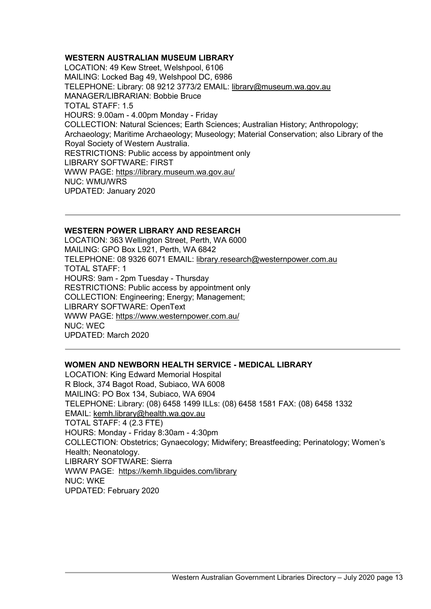# <span id="page-12-0"></span>**WESTERN AUSTRALIAN MUSEUM LIBRARY**

LOCATION: 49 Kew Street, Welshpool, 6106 MAILING: Locked Bag 49, Welshpool DC, 6986 TELEPHONE: Library: 08 9212 3773/2 EMAIL: library@museum.wa.gov.au MANAGER/LIBRARIAN: Bobbie Bruce TOTAL STAFF: 1.5 HOURS: 9.00am - 4.00pm Monday - Friday COLLECTION: Natural Sciences; Earth Sciences; Australian History; Anthropology; Archaeology; Maritime Archaeology; Museology; Material Conservation; also Library of the Royal Society of Western Australia. RESTRICTIONS: Public access by appointment only LIBRARY SOFTWARE: FIRST WWW PAGE:<https://library.museum.wa.gov.au/> NUC: WMU/WRS UPDATED: January 2020

## <span id="page-12-1"></span>**WESTERN POWER LIBRARY AND RESEARCH**

LOCATION: 363 Wellington Street, Perth, WA 6000 MAILING: GPO Box L921, Perth, WA 6842 TELEPHONE: 08 9326 6071 EMAIL: library.research@westernpower.com.au TOTAL STAFF: 1 HOURS: 9am - 2pm Tuesday - Thursday RESTRICTIONS: Public access by appointment only COLLECTION: Engineering; Energy; Management; LIBRARY SOFTWARE: OpenText WWW PAGE:<https://www.westernpower.com.au/> NUC: WEC UPDATED: March 2020

#### <span id="page-12-2"></span>**WOMEN AND NEWBORN HEALTH SERVICE - MEDICAL LIBRARY**

LOCATION: King Edward Memorial Hospital R Block, 374 Bagot Road, Subiaco, WA 6008 MAILING: PO Box 134, Subiaco, WA 6904 TELEPHONE: Library: (08) 6458 1499 ILLs: (08) 6458 1581 FAX: (08) 6458 1332 EMAIL: kemh.library@health.wa.gov.au TOTAL STAFF: 4 (2.3 FTE) HOURS: Monday - Friday 8:30am - 4:30pm COLLECTION: Obstetrics; Gynaecology; Midwifery; Breastfeeding; Perinatology; Women's Health; Neonatology. LIBRARY SOFTWARE: Sierra WWW PAGE: <https://kemh.libguides.com/library> NUC: WKE UPDATED: February 2020